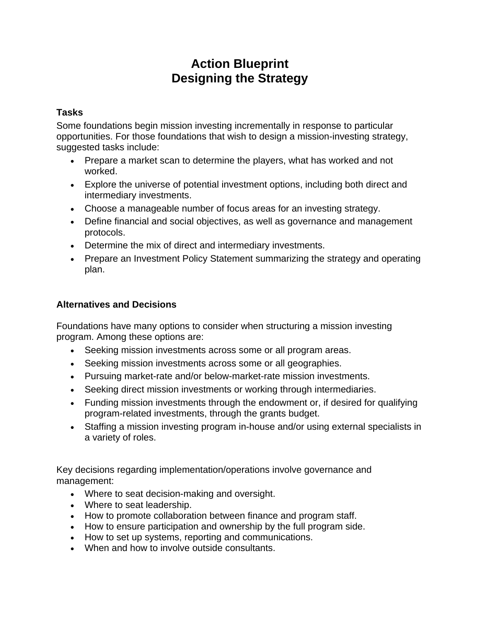## **Action Blueprint Designing the Strategy**

## **Tasks**

Some foundations begin mission investing incrementally in response to particular opportunities. For those foundations that wish to design a mission-investing strategy, suggested tasks include:

- Prepare a market scan to determine the players, what has worked and not worked.
- Explore the universe of potential investment options, including both direct and intermediary investments.
- Choose a manageable number of focus areas for an investing strategy.
- Define financial and social objectives, as well as governance and management protocols.
- Determine the mix of direct and intermediary investments.
- Prepare an Investment Policy Statement summarizing the strategy and operating plan.

## **Alternatives and Decisions**

Foundations have many options to consider when structuring a mission investing program. Among these options are:

- Seeking mission investments across some or all program areas.
- Seeking mission investments across some or all geographies.
- Pursuing market-rate and/or below-market-rate mission investments.
- Seeking direct mission investments or working through intermediaries.
- Funding mission investments through the endowment or, if desired for qualifying program-related investments, through the grants budget.
- Staffing a mission investing program in-house and/or using external specialists in a variety of roles.

Key decisions regarding implementation/operations involve governance and management:

- Where to seat decision-making and oversight.
- Where to seat leadership.
- How to promote collaboration between finance and program staff.
- How to ensure participation and ownership by the full program side.
- How to set up systems, reporting and communications.
- When and how to involve outside consultants.